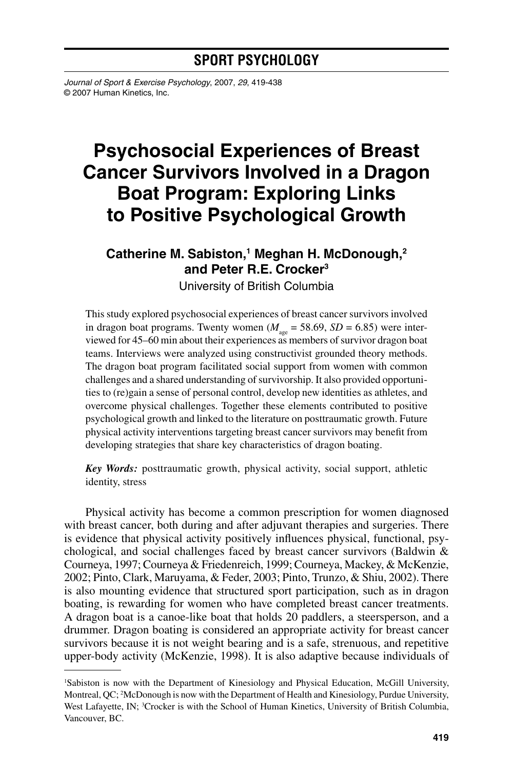# **SPORT Psychology**

*Journal of Sport & Exercise Psychology*, 2007, *29*, 419-438 © 2007 Human Kinetics, Inc.

# **Psychosocial Experiences of Breast Cancer Survivors Involved in a Dragon Boat Program: Exploring Links to Positive Psychological Growth**

# **Catherine M. Sabiston,1 Meghan H. McDonough,2 and Peter R.E. Crocker3**

### University of British Columbia

This study explored psychosocial experiences of breast cancer survivors involved in dragon boat programs. Twenty women ( $M_{\text{age}} = 58.69$ ,  $SD = 6.85$ ) were interviewed for 45–60 min about their experiences as members of survivor dragon boat teams. Interviews were analyzed using constructivist grounded theory methods. The dragon boat program facilitated social support from women with common challenges and a shared understanding of survivorship. It also provided opportunities to (re)gain a sense of personal control, develop new identities as athletes, and overcome physical challenges. Together these elements contributed to positive psychological growth and linked to the literature on posttraumatic growth. Future physical activity interventions targeting breast cancer survivors may benefit from developing strategies that share key characteristics of dragon boating.

*Key Words:* posttraumatic growth, physical activity, social support, athletic identity, stress

Physical activity has become a common prescription for women diagnosed with breast cancer, both during and after adjuvant therapies and surgeries. There is evidence that physical activity positively influences physical, functional, psychological, and social challenges faced by breast cancer survivors (Baldwin & Courneya, 1997; Courneya & Friedenreich, 1999; Courneya, Mackey, & McKenzie, 2002; Pinto, Clark, Maruyama, & Feder, 2003; Pinto, Trunzo, & Shiu, 2002). There is also mounting evidence that structured sport participation, such as in dragon boating, is rewarding for women who have completed breast cancer treatments. A dragon boat is a canoe-like boat that holds 20 paddlers, a steersperson, and a drummer. Dragon boating is considered an appropriate activity for breast cancer survivors because it is not weight bearing and is a safe, strenuous, and repetitive upper-body activity (McKenzie, 1998). It is also adaptive because individuals of

<sup>1</sup> Sabiston is now with the Department of Kinesiology and Physical Education, McGill University, Montreal, QC; <sup>2</sup>McDonough is now with the Department of Health and Kinesiology, Purdue University, West Lafayette, IN; <sup>3</sup>Crocker is with the School of Human Kinetics, University of British Columbia, Vancouver, BC.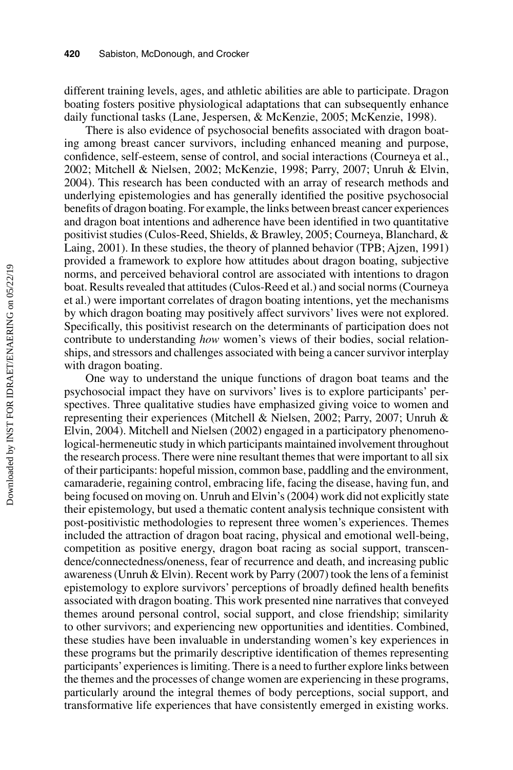different training levels, ages, and athletic abilities are able to participate. Dragon boating fosters positive physiological adaptations that can subsequently enhance daily functional tasks (Lane, Jespersen, & McKenzie, 2005; McKenzie, 1998).

There is also evidence of psychosocial benefits associated with dragon boating among breast cancer survivors, including enhanced meaning and purpose, confidence, self-esteem, sense of control, and social interactions (Courneya et al., 2002; Mitchell & Nielsen, 2002; McKenzie, 1998; Parry, 2007; Unruh & Elvin, 2004). This research has been conducted with an array of research methods and underlying epistemologies and has generally identified the positive psychosocial benefits of dragon boating. For example, the links between breast cancer experiences and dragon boat intentions and adherence have been identified in two quantitative positivist studies (Culos-Reed, Shields, & Brawley, 2005; Courneya, Blanchard, & Laing, 2001). In these studies, the theory of planned behavior (TPB; Ajzen, 1991) provided a framework to explore how attitudes about dragon boating, subjective norms, and perceived behavioral control are associated with intentions to dragon boat. Results revealed that attitudes (Culos-Reed et al.) and social norms (Courneya et al.) were important correlates of dragon boating intentions, yet the mechanisms by which dragon boating may positively affect survivors' lives were not explored. Specifically, this positivist research on the determinants of participation does not contribute to understanding *how* women's views of their bodies, social relationships, and stressors and challenges associated with being a cancer survivor interplay with dragon boating.

One way to understand the unique functions of dragon boat teams and the psychosocial impact they have on survivors' lives is to explore participants' perspectives. Three qualitative studies have emphasized giving voice to women and representing their experiences (Mitchell & Nielsen, 2002; Parry, 2007; Unruh & Elvin, 2004). Mitchell and Nielsen (2002) engaged in a participatory phenomenological-hermeneutic study in which participants maintained involvement throughout the research process. There were nine resultant themes that were important to all six of their participants: hopeful mission, common base, paddling and the environment, camaraderie, regaining control, embracing life, facing the disease, having fun, and being focused on moving on. Unruh and Elvin's (2004) work did not explicitly state their epistemology, but used a thematic content analysis technique consistent with post-positivistic methodologies to represent three women's experiences. Themes included the attraction of dragon boat racing, physical and emotional well-being, competition as positive energy, dragon boat racing as social support, transcendence/connectedness/oneness, fear of recurrence and death, and increasing public awareness (Unruh & Elvin). Recent work by Parry (2007) took the lens of a feminist epistemology to explore survivors' perceptions of broadly defined health benefits associated with dragon boating. This work presented nine narratives that conveyed themes around personal control, social support, and close friendship; similarity to other survivors; and experiencing new opportunities and identities. Combined, these studies have been invaluable in understanding women's key experiences in these programs but the primarily descriptive identification of themes representing participants' experiences is limiting. There is a need to further explore links between the themes and the processes of change women are experiencing in these programs, particularly around the integral themes of body perceptions, social support, and transformative life experiences that have consistently emerged in existing works.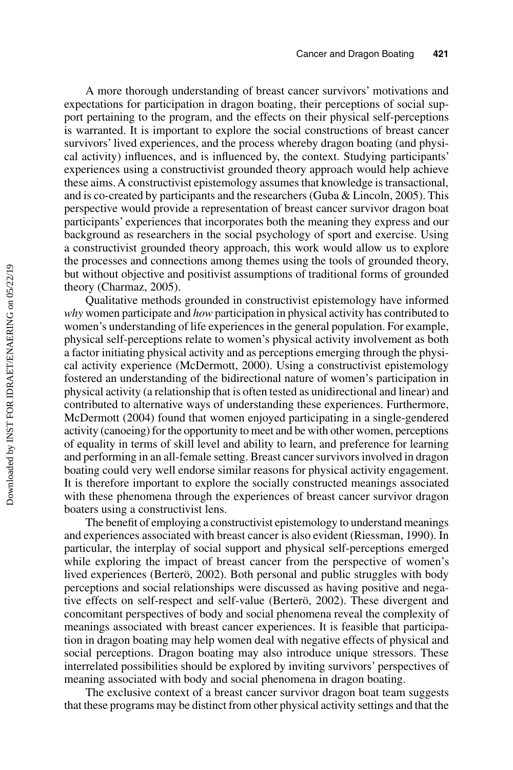A more thorough understanding of breast cancer survivors' motivations and expectations for participation in dragon boating, their perceptions of social support pertaining to the program, and the effects on their physical self-perceptions is warranted. It is important to explore the social constructions of breast cancer survivors' lived experiences, and the process whereby dragon boating (and physical activity) influences, and is influenced by, the context. Studying participants' experiences using a constructivist grounded theory approach would help achieve these aims. A constructivist epistemology assumes that knowledge is transactional, and is co-created by participants and the researchers (Guba & Lincoln, 2005). This perspective would provide a representation of breast cancer survivor dragon boat participants' experiences that incorporates both the meaning they express and our background as researchers in the social psychology of sport and exercise. Using a constructivist grounded theory approach, this work would allow us to explore the processes and connections among themes using the tools of grounded theory, but without objective and positivist assumptions of traditional forms of grounded theory (Charmaz, 2005).

Qualitative methods grounded in constructivist epistemology have informed *why* women participate and *how* participation in physical activity has contributed to women's understanding of life experiences in the general population. For example, physical self-perceptions relate to women's physical activity involvement as both a factor initiating physical activity and as perceptions emerging through the physical activity experience (McDermott, 2000). Using a constructivist epistemology fostered an understanding of the bidirectional nature of women's participation in physical activity (a relationship that is often tested as unidirectional and linear) and contributed to alternative ways of understanding these experiences. Furthermore, McDermott (2004) found that women enjoyed participating in a single-gendered activity (canoeing) for the opportunity to meet and be with other women, perceptions of equality in terms of skill level and ability to learn, and preference for learning and performing in an all-female setting. Breast cancer survivors involved in dragon boating could very well endorse similar reasons for physical activity engagement. It is therefore important to explore the socially constructed meanings associated with these phenomena through the experiences of breast cancer survivor dragon boaters using a constructivist lens.

The benefit of employing a constructivist epistemology to understand meanings and experiences associated with breast cancer is also evident (Riessman, 1990). In particular, the interplay of social support and physical self-perceptions emerged while exploring the impact of breast cancer from the perspective of women's lived experiences (Berterö, 2002). Both personal and public struggles with body perceptions and social relationships were discussed as having positive and negative effects on self-respect and self-value (Berterö, 2002). These divergent and concomitant perspectives of body and social phenomena reveal the complexity of meanings associated with breast cancer experiences. It is feasible that participation in dragon boating may help women deal with negative effects of physical and social perceptions. Dragon boating may also introduce unique stressors. These interrelated possibilities should be explored by inviting survivors' perspectives of meaning associated with body and social phenomena in dragon boating.

The exclusive context of a breast cancer survivor dragon boat team suggests that these programs may be distinct from other physical activity settings and that the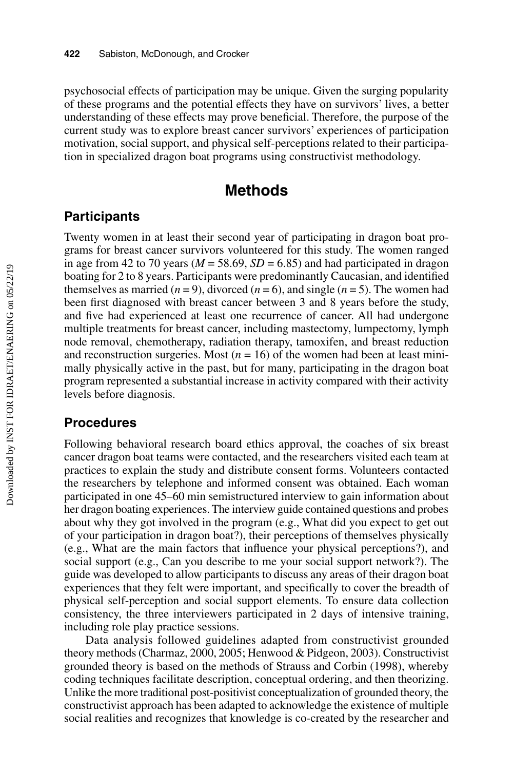psychosocial effects of participation may be unique. Given the surging popularity of these programs and the potential effects they have on survivors' lives, a better understanding of these effects may prove beneficial. Therefore, the purpose of the current study was to explore breast cancer survivors' experiences of participation motivation, social support, and physical self-perceptions related to their participation in specialized dragon boat programs using constructivist methodology.

# **Methods**

### **Participants**

Twenty women in at least their second year of participating in dragon boat programs for breast cancer survivors volunteered for this study. The women ranged in age from 42 to 70 years ( $M = 58.69$ ,  $SD = 6.85$ ) and had participated in dragon boating for 2 to 8 years. Participants were predominantly Caucasian, and identified themselves as married  $(n = 9)$ , divorced  $(n = 6)$ , and single  $(n = 5)$ . The women had been first diagnosed with breast cancer between 3 and 8 years before the study, and five had experienced at least one recurrence of cancer. All had undergone multiple treatments for breast cancer, including mastectomy, lumpectomy, lymph node removal, chemotherapy, radiation therapy, tamoxifen, and breast reduction and reconstruction surgeries. Most  $(n = 16)$  of the women had been at least minimally physically active in the past, but for many, participating in the dragon boat program represented a substantial increase in activity compared with their activity levels before diagnosis.

### **Procedures**

Following behavioral research board ethics approval, the coaches of six breast cancer dragon boat teams were contacted, and the researchers visited each team at practices to explain the study and distribute consent forms. Volunteers contacted the researchers by telephone and informed consent was obtained. Each woman participated in one 45–60 min semistructured interview to gain information about her dragon boating experiences. The interview guide contained questions and probes about why they got involved in the program (e.g., What did you expect to get out of your participation in dragon boat?), their perceptions of themselves physically (e.g., What are the main factors that influence your physical perceptions?), and social support (e.g., Can you describe to me your social support network?). The guide was developed to allow participants to discuss any areas of their dragon boat experiences that they felt were important, and specifically to cover the breadth of physical self-perception and social support elements. To ensure data collection consistency, the three interviewers participated in 2 days of intensive training, including role play practice sessions.

Data analysis followed guidelines adapted from constructivist grounded theory methods (Charmaz, 2000, 2005; Henwood & Pidgeon, 2003). Constructivist grounded theory is based on the methods of Strauss and Corbin (1998), whereby coding techniques facilitate description, conceptual ordering, and then theorizing. Unlike the more traditional post-positivist conceptualization of grounded theory, the constructivist approach has been adapted to acknowledge the existence of multiple social realities and recognizes that knowledge is co-created by the researcher and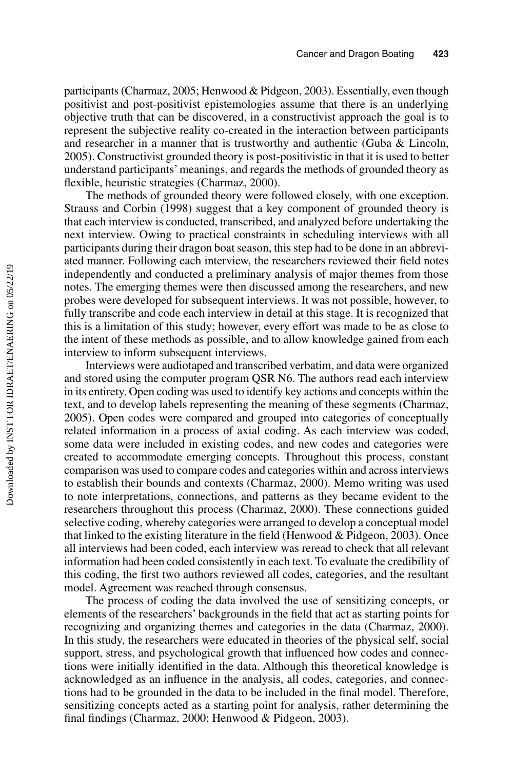participants (Charmaz, 2005; Henwood & Pidgeon, 2003). Essentially, even though positivist and post-positivist epistemologies assume that there is an underlying objective truth that can be discovered, in a constructivist approach the goal is to represent the subjective reality co-created in the interaction between participants and researcher in a manner that is trustworthy and authentic (Guba & Lincoln, 2005). Constructivist grounded theory is post-positivistic in that it is used to better understand participants' meanings, and regards the methods of grounded theory as flexible, heuristic strategies (Charmaz, 2000).

The methods of grounded theory were followed closely, with one exception. Strauss and Corbin (1998) suggest that a key component of grounded theory is that each interview is conducted, transcribed, and analyzed before undertaking the next interview. Owing to practical constraints in scheduling interviews with all participants during their dragon boat season, this step had to be done in an abbreviated manner. Following each interview, the researchers reviewed their field notes independently and conducted a preliminary analysis of major themes from those notes. The emerging themes were then discussed among the researchers, and new probes were developed for subsequent interviews. It was not possible, however, to fully transcribe and code each interview in detail at this stage. It is recognized that this is a limitation of this study; however, every effort was made to be as close to the intent of these methods as possible, and to allow knowledge gained from each interview to inform subsequent interviews.

Interviews were audiotaped and transcribed verbatim, and data were organized and stored using the computer program QSR N6. The authors read each interview in its entirety. Open coding was used to identify key actions and concepts within the text, and to develop labels representing the meaning of these segments (Charmaz, 2005). Open codes were compared and grouped into categories of conceptually related information in a process of axial coding. As each interview was coded, some data were included in existing codes, and new codes and categories were created to accommodate emerging concepts. Throughout this process, constant comparison was used to compare codes and categories within and across interviews to establish their bounds and contexts (Charmaz, 2000). Memo writing was used to note interpretations, connections, and patterns as they became evident to the researchers throughout this process (Charmaz, 2000). These connections guided selective coding, whereby categories were arranged to develop a conceptual model that linked to the existing literature in the field (Henwood & Pidgeon, 2003). Once all interviews had been coded, each interview was reread to check that all relevant information had been coded consistently in each text. To evaluate the credibility of this coding, the first two authors reviewed all codes, categories, and the resultant model. Agreement was reached through consensus.

The process of coding the data involved the use of sensitizing concepts, or elements of the researchers' backgrounds in the field that act as starting points for recognizing and organizing themes and categories in the data (Charmaz, 2000). In this study, the researchers were educated in theories of the physical self, social support, stress, and psychological growth that influenced how codes and connections were initially identified in the data. Although this theoretical knowledge is acknowledged as an influence in the analysis, all codes, categories, and connections had to be grounded in the data to be included in the final model. Therefore, sensitizing concepts acted as a starting point for analysis, rather determining the final findings (Charmaz, 2000; Henwood & Pidgeon, 2003).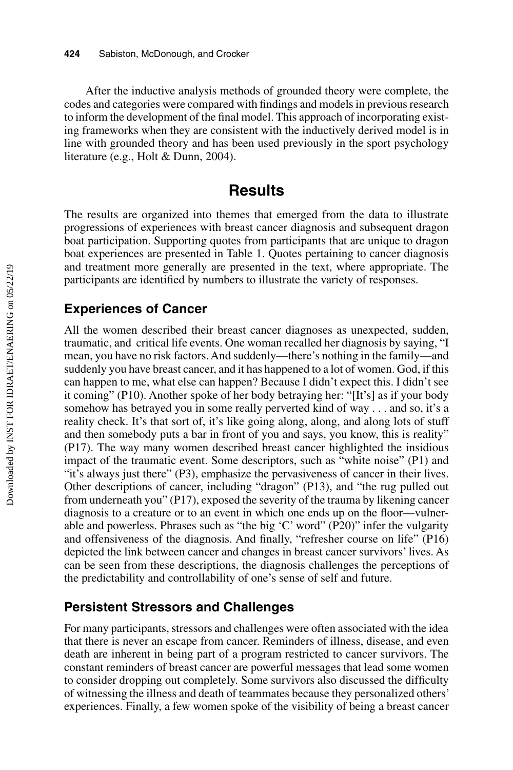After the inductive analysis methods of grounded theory were complete, the codes and categories were compared with findings and models in previous research to inform the development of the final model. This approach of incorporating existing frameworks when they are consistent with the inductively derived model is in line with grounded theory and has been used previously in the sport psychology literature (e.g., Holt & Dunn, 2004).

### **Results**

The results are organized into themes that emerged from the data to illustrate progressions of experiences with breast cancer diagnosis and subsequent dragon boat participation. Supporting quotes from participants that are unique to dragon boat experiences are presented in Table 1. Quotes pertaining to cancer diagnosis and treatment more generally are presented in the text, where appropriate. The participants are identified by numbers to illustrate the variety of responses.

#### **Experiences of Cancer**

All the women described their breast cancer diagnoses as unexpected, sudden, traumatic, and critical life events. One woman recalled her diagnosis by saying, "I mean, you have no risk factors. And suddenly—there's nothing in the family—and suddenly you have breast cancer, and it has happened to a lot of women. God, if this can happen to me, what else can happen? Because I didn't expect this. I didn't see it coming" (P10). Another spoke of her body betraying her: "[It's] as if your body somehow has betrayed you in some really perverted kind of way . . . and so, it's a reality check. It's that sort of, it's like going along, along, and along lots of stuff and then somebody puts a bar in front of you and says, you know, this is reality" (P17). The way many women described breast cancer highlighted the insidious impact of the traumatic event. Some descriptors, such as "white noise" (P1) and "it's always just there" (P3), emphasize the pervasiveness of cancer in their lives. Other descriptions of cancer, including "dragon" (P13), and "the rug pulled out from underneath you" (P17), exposed the severity of the trauma by likening cancer diagnosis to a creature or to an event in which one ends up on the floor—vulnerable and powerless. Phrases such as "the big 'C' word" (P20)" infer the vulgarity and offensiveness of the diagnosis. And finally, "refresher course on life" (P16) depicted the link between cancer and changes in breast cancer survivors' lives. As can be seen from these descriptions, the diagnosis challenges the perceptions of the predictability and controllability of one's sense of self and future.

#### **Persistent Stressors and Challenges**

For many participants, stressors and challenges were often associated with the idea that there is never an escape from cancer. Reminders of illness, disease, and even death are inherent in being part of a program restricted to cancer survivors. The constant reminders of breast cancer are powerful messages that lead some women to consider dropping out completely. Some survivors also discussed the difficulty of witnessing the illness and death of teammates because they personalized others' experiences. Finally, a few women spoke of the visibility of being a breast cancer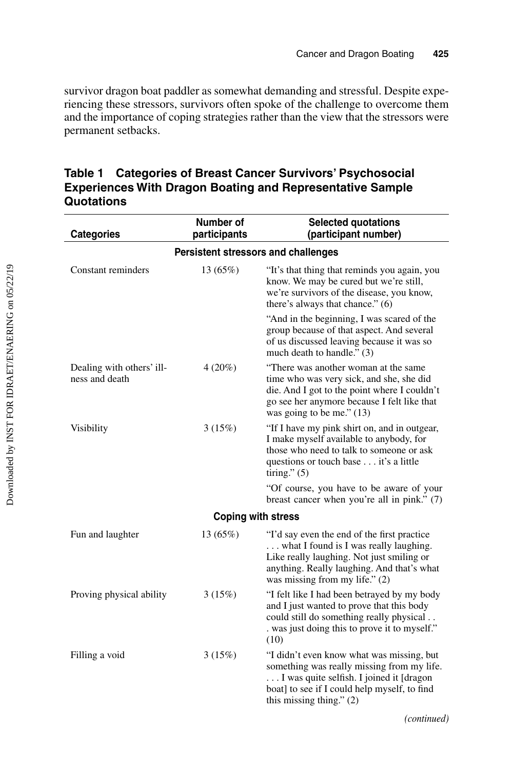survivor dragon boat paddler as somewhat demanding and stressful. Despite experiencing these stressors, survivors often spoke of the challenge to overcome them and the importance of coping strategies rather than the view that the stressors were permanent setbacks.

|            | Table 1 Categories of Breast Cancer Survivors' Psychosocial      |
|------------|------------------------------------------------------------------|
|            | <b>Experiences With Dragon Boating and Representative Sample</b> |
| Quotations |                                                                  |

| <b>Categories</b>                           | Number of<br>participants | <b>Selected quotations</b><br>(participant number)                                                                                                                                                                  |
|---------------------------------------------|---------------------------|---------------------------------------------------------------------------------------------------------------------------------------------------------------------------------------------------------------------|
|                                             |                           | Persistent stressors and challenges                                                                                                                                                                                 |
| Constant reminders                          | 13(65%)                   | "It's that thing that reminds you again, you<br>know. We may be cured but we're still,<br>we're survivors of the disease, you know,<br>there's always that chance." (6)                                             |
|                                             |                           | "And in the beginning, I was scared of the<br>group because of that aspect. And several<br>of us discussed leaving because it was so<br>much death to handle." (3)                                                  |
| Dealing with others' ill-<br>ness and death | $4(20\%)$                 | "There was another woman at the same<br>time who was very sick, and she, she did<br>die. And I got to the point where I couldn't<br>go see her anymore because I felt like that<br>was going to be me." (13)        |
| Visibility                                  | 3(15%)                    | "If I have my pink shirt on, and in outgear,<br>I make myself available to anybody, for<br>those who need to talk to someone or ask<br>questions or touch base it's a little<br>tiring." $(5)$                      |
|                                             |                           | "Of course, you have to be aware of your<br>breast cancer when you're all in pink." (7)                                                                                                                             |
|                                             | <b>Coping with stress</b> |                                                                                                                                                                                                                     |
| Fun and laughter                            | 13(65%)                   | "I'd say even the end of the first practice"<br>what I found is I was really laughing.<br>Like really laughing. Not just smiling or<br>anything. Really laughing. And that's what<br>was missing from my life." (2) |
| Proving physical ability                    | 3(15%)                    | "I felt like I had been betrayed by my body<br>and I just wanted to prove that this body<br>could still do something really physical<br>was just doing this to prove it to myself."<br>(10)                         |
| Filling a void                              | 3(15%)                    | "I didn't even know what was missing, but<br>something was really missing from my life.<br>I was quite selfish. I joined it [dragon<br>boat] to see if I could help myself, to find<br>this missing thing." (2)     |

*(continued)*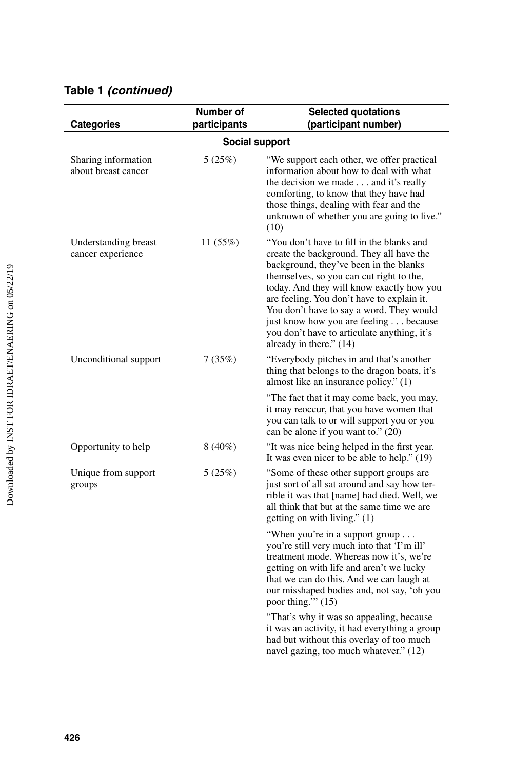| <b>Categories</b>                          | Number of<br>participants | <b>Selected quotations</b><br>(participant number)                                                                                                                                                                                                                                                                                                                                                                                    |
|--------------------------------------------|---------------------------|---------------------------------------------------------------------------------------------------------------------------------------------------------------------------------------------------------------------------------------------------------------------------------------------------------------------------------------------------------------------------------------------------------------------------------------|
|                                            | Social support            |                                                                                                                                                                                                                                                                                                                                                                                                                                       |
| Sharing information<br>about breast cancer | 5(25%)                    | "We support each other, we offer practical<br>information about how to deal with what<br>the decision we made and it's really<br>comforting, to know that they have had<br>those things, dealing with fear and the<br>unknown of whether you are going to live."<br>(10)                                                                                                                                                              |
| Understanding breast<br>cancer experience  | 11(55%)                   | "You don't have to fill in the blanks and<br>create the background. They all have the<br>background, they've been in the blanks<br>themselves, so you can cut right to the,<br>today. And they will know exactly how you<br>are feeling. You don't have to explain it.<br>You don't have to say a word. They would<br>just know how you are feeling because<br>you don't have to articulate anything, it's<br>already in there." (14) |
| Unconditional support                      | 7(35%)                    | "Everybody pitches in and that's another<br>thing that belongs to the dragon boats, it's<br>almost like an insurance policy." (1)                                                                                                                                                                                                                                                                                                     |
|                                            |                           | "The fact that it may come back, you may,<br>it may reoccur, that you have women that<br>you can talk to or will support you or you<br>can be alone if you want to." (20)                                                                                                                                                                                                                                                             |
| Opportunity to help                        | $8(40\%)$                 | "It was nice being helped in the first year.<br>It was even nicer to be able to help." (19)                                                                                                                                                                                                                                                                                                                                           |
| Unique from support<br>groups              | 5(25%)                    | "Some of these other support groups are<br>just sort of all sat around and say how ter-<br>rible it was that [name] had died. Well, we<br>all think that but at the same time we are<br>getting on with living." $(1)$                                                                                                                                                                                                                |
|                                            |                           | "When you're in a support group<br>you're still very much into that 'I'm ill'<br>treatment mode. Whereas now it's, we're<br>getting on with life and aren't we lucky<br>that we can do this. And we can laugh at<br>our misshaped bodies and, not say, 'oh you<br>poor thing." $(15)$                                                                                                                                                 |
|                                            |                           | "That's why it was so appealing, because<br>it was an activity, it had everything a group<br>had but without this overlay of too much<br>navel gazing, too much whatever." (12)                                                                                                                                                                                                                                                       |

# **Table 1** *(continued)*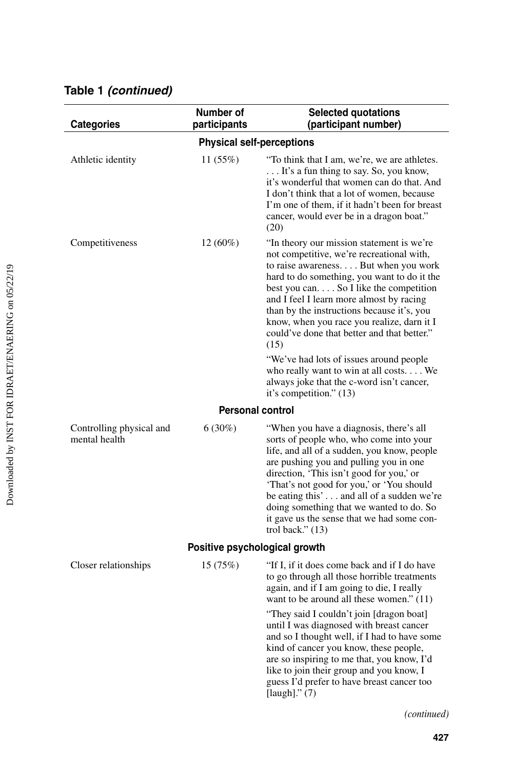| <b>Categories</b>                         | Number of<br>participants | <b>Selected quotations</b><br>(participant number)                                                                                                                                                                                                                                                                                                                                                                              |  |  |  |
|-------------------------------------------|---------------------------|---------------------------------------------------------------------------------------------------------------------------------------------------------------------------------------------------------------------------------------------------------------------------------------------------------------------------------------------------------------------------------------------------------------------------------|--|--|--|
| <b>Physical self-perceptions</b>          |                           |                                                                                                                                                                                                                                                                                                                                                                                                                                 |  |  |  |
| Athletic identity                         | 11(55%)                   | "To think that I am, we're, we are athletes.<br>It's a fun thing to say. So, you know,<br>it's wonderful that women can do that. And<br>I don't think that a lot of women, because<br>I'm one of them, if it hadn't been for breast<br>cancer, would ever be in a dragon boat."<br>(20)                                                                                                                                         |  |  |  |
| Competitiveness                           | $12(60\%)$                | "In theory our mission statement is we're<br>not competitive, we're recreational with,<br>to raise awareness. But when you work<br>hard to do something, you want to do it the<br>best you can So I like the competition<br>and I feel I learn more almost by racing<br>than by the instructions because it's, you<br>know, when you race you realize, darn it I<br>could've done that better and that better."<br>(15)         |  |  |  |
|                                           |                           | "We've had lots of issues around people<br>who really want to win at all costs We<br>always joke that the c-word isn't cancer,<br>it's competition." (13)                                                                                                                                                                                                                                                                       |  |  |  |
|                                           | <b>Personal control</b>   |                                                                                                                                                                                                                                                                                                                                                                                                                                 |  |  |  |
| Controlling physical and<br>mental health | $6(30\%)$                 | "When you have a diagnosis, there's all<br>sorts of people who, who come into your<br>life, and all of a sudden, you know, people<br>are pushing you and pulling you in one<br>direction, 'This isn't good for you,' or<br>'That's not good for you,' or 'You should<br>be eating this' and all of a sudden we're<br>doing something that we wanted to do. So<br>it gave us the sense that we had some con-<br>trol back." (13) |  |  |  |
| Positive psychological growth             |                           |                                                                                                                                                                                                                                                                                                                                                                                                                                 |  |  |  |
| Closer relationships                      | 15(75%)                   | "If I, if it does come back and if I do have<br>to go through all those horrible treatments<br>again, and if I am going to die, I really<br>want to be around all these women." (11)                                                                                                                                                                                                                                            |  |  |  |
|                                           |                           | "They said I couldn't join [dragon boat]<br>until I was diagnosed with breast cancer<br>and so I thought well, if I had to have some<br>kind of cancer you know, these people,<br>are so inspiring to me that, you know, I'd<br>like to join their group and you know, I<br>guess I'd prefer to have breast cancer too<br>[laugh]." $(7)$                                                                                       |  |  |  |

# **Table 1** *(continued)*

*(continued)*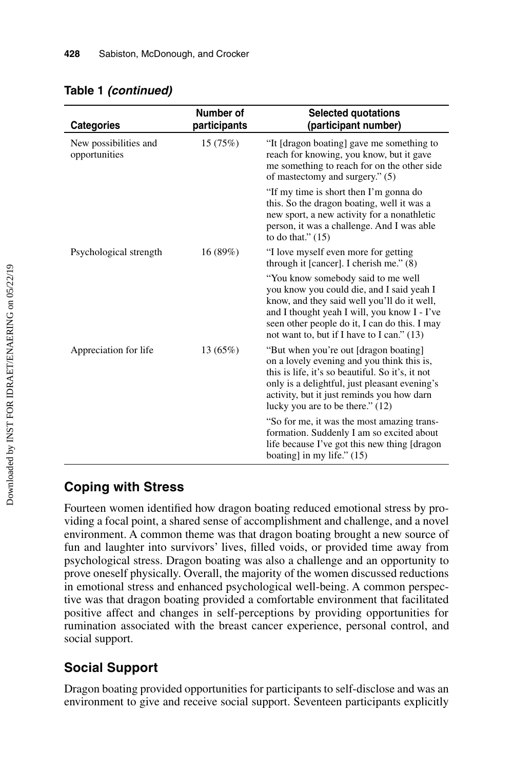### **Table 1** *(continued)*

| <b>Categories</b>                      | Number of<br>participants | <b>Selected quotations</b><br>(participant number)                                                                                                                                                                                                                            |
|----------------------------------------|---------------------------|-------------------------------------------------------------------------------------------------------------------------------------------------------------------------------------------------------------------------------------------------------------------------------|
| New possibilities and<br>opportunities | 15(75%)                   | "It [dragon boating] gave me something to<br>reach for knowing, you know, but it gave<br>me something to reach for on the other side<br>of mastectomy and surgery." (5)                                                                                                       |
|                                        |                           | "If my time is short then I'm gonna do<br>this. So the dragon boating, well it was a<br>new sport, a new activity for a nonathletic<br>person, it was a challenge. And I was able<br>to do that." $(15)$                                                                      |
| Psychological strength                 | 16(89%)                   | "I love myself even more for getting<br>through it [cancer]. I cherish me." $(8)$                                                                                                                                                                                             |
|                                        |                           | "You know somebody said to me well<br>you know you could die, and I said yeah I<br>know, and they said well you'll do it well,<br>and I thought yeah I will, you know I - I've<br>seen other people do it, I can do this. I may<br>not want to, but if I have to I can." (13) |
| Appreciation for life                  | 13(65%)                   | "But when you're out [dragon boating]<br>on a lovely evening and you think this is,<br>this is life, it's so beautiful. So it's, it not<br>only is a delightful, just pleasant evening's<br>activity, but it just reminds you how darn<br>lucky you are to be there." $(12)$  |
|                                        |                           | "So for me, it was the most amazing trans-<br>formation. Suddenly I am so excited about<br>life because I've got this new thing [dragon]<br>boating] in my life." $(15)$                                                                                                      |

### **Coping with Stress**

Fourteen women identified how dragon boating reduced emotional stress by providing a focal point, a shared sense of accomplishment and challenge, and a novel environment. A common theme was that dragon boating brought a new source of fun and laughter into survivors' lives, filled voids, or provided time away from psychological stress. Dragon boating was also a challenge and an opportunity to prove oneself physically. Overall, the majority of the women discussed reductions in emotional stress and enhanced psychological well-being. A common perspective was that dragon boating provided a comfortable environment that facilitated positive affect and changes in self-perceptions by providing opportunities for rumination associated with the breast cancer experience, personal control, and social support.

### **Social Support**

Dragon boating provided opportunities for participants to self-disclose and was an environment to give and receive social support. Seventeen participants explicitly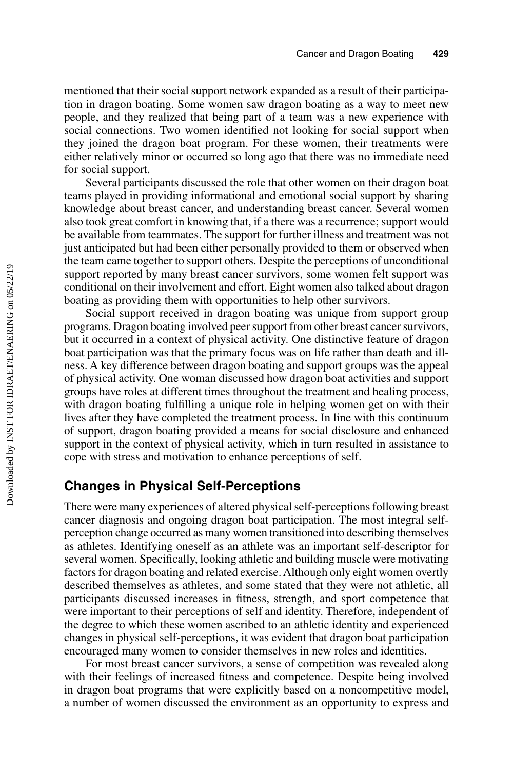mentioned that their social support network expanded as a result of their participation in dragon boating. Some women saw dragon boating as a way to meet new people, and they realized that being part of a team was a new experience with social connections. Two women identified not looking for social support when they joined the dragon boat program. For these women, their treatments were either relatively minor or occurred so long ago that there was no immediate need for social support.

Several participants discussed the role that other women on their dragon boat teams played in providing informational and emotional social support by sharing knowledge about breast cancer, and understanding breast cancer. Several women also took great comfort in knowing that, if a there was a recurrence; support would be available from teammates. The support for further illness and treatment was not just anticipated but had been either personally provided to them or observed when the team came together to support others. Despite the perceptions of unconditional support reported by many breast cancer survivors, some women felt support was conditional on their involvement and effort. Eight women also talked about dragon boating as providing them with opportunities to help other survivors.

Social support received in dragon boating was unique from support group programs. Dragon boating involved peer support from other breast cancer survivors, but it occurred in a context of physical activity. One distinctive feature of dragon boat participation was that the primary focus was on life rather than death and illness. A key difference between dragon boating and support groups was the appeal of physical activity. One woman discussed how dragon boat activities and support groups have roles at different times throughout the treatment and healing process, with dragon boating fulfilling a unique role in helping women get on with their lives after they have completed the treatment process. In line with this continuum of support, dragon boating provided a means for social disclosure and enhanced support in the context of physical activity, which in turn resulted in assistance to cope with stress and motivation to enhance perceptions of self.

### **Changes in Physical Self-Perceptions**

There were many experiences of altered physical self-perceptions following breast cancer diagnosis and ongoing dragon boat participation. The most integral selfperception change occurred as many women transitioned into describing themselves as athletes. Identifying oneself as an athlete was an important self-descriptor for several women. Specifically, looking athletic and building muscle were motivating factors for dragon boating and related exercise. Although only eight women overtly described themselves as athletes, and some stated that they were not athletic, all participants discussed increases in fitness, strength, and sport competence that were important to their perceptions of self and identity. Therefore, independent of the degree to which these women ascribed to an athletic identity and experienced changes in physical self-perceptions, it was evident that dragon boat participation encouraged many women to consider themselves in new roles and identities.

For most breast cancer survivors, a sense of competition was revealed along with their feelings of increased fitness and competence. Despite being involved in dragon boat programs that were explicitly based on a noncompetitive model, a number of women discussed the environment as an opportunity to express and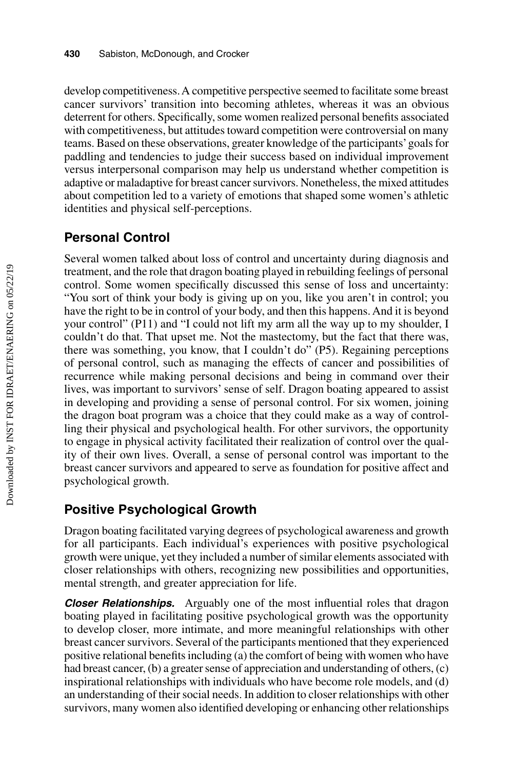develop competitiveness. A competitive perspective seemed to facilitate some breast cancer survivors' transition into becoming athletes, whereas it was an obvious deterrent for others. Specifically, some women realized personal benefits associated with competitiveness, but attitudes toward competition were controversial on many teams. Based on these observations, greater knowledge of the participants' goals for paddling and tendencies to judge their success based on individual improvement versus interpersonal comparison may help us understand whether competition is adaptive or maladaptive for breast cancer survivors. Nonetheless, the mixed attitudes about competition led to a variety of emotions that shaped some women's athletic identities and physical self-perceptions.

### **Personal Control**

Several women talked about loss of control and uncertainty during diagnosis and treatment, and the role that dragon boating played in rebuilding feelings of personal control. Some women specifically discussed this sense of loss and uncertainty: "You sort of think your body is giving up on you, like you aren't in control; you have the right to be in control of your body, and then this happens. And it is beyond your control" (P11) and "I could not lift my arm all the way up to my shoulder, I couldn't do that. That upset me. Not the mastectomy, but the fact that there was, there was something, you know, that I couldn't do" (P5). Regaining perceptions of personal control, such as managing the effects of cancer and possibilities of recurrence while making personal decisions and being in command over their lives, was important to survivors' sense of self. Dragon boating appeared to assist in developing and providing a sense of personal control. For six women, joining the dragon boat program was a choice that they could make as a way of controlling their physical and psychological health. For other survivors, the opportunity to engage in physical activity facilitated their realization of control over the quality of their own lives. Overall, a sense of personal control was important to the breast cancer survivors and appeared to serve as foundation for positive affect and psychological growth.

### **Positive Psychological Growth**

Dragon boating facilitated varying degrees of psychological awareness and growth for all participants. Each individual's experiences with positive psychological growth were unique, yet they included a number of similar elements associated with closer relationships with others, recognizing new possibilities and opportunities, mental strength, and greater appreciation for life.

*Closer Relationships.* Arguably one of the most influential roles that dragon boating played in facilitating positive psychological growth was the opportunity to develop closer, more intimate, and more meaningful relationships with other breast cancer survivors. Several of the participants mentioned that they experienced positive relational benefits including (a) the comfort of being with women who have had breast cancer, (b) a greater sense of appreciation and understanding of others, (c) inspirational relationships with individuals who have become role models, and (d) an understanding of their social needs. In addition to closer relationships with other survivors, many women also identified developing or enhancing other relationships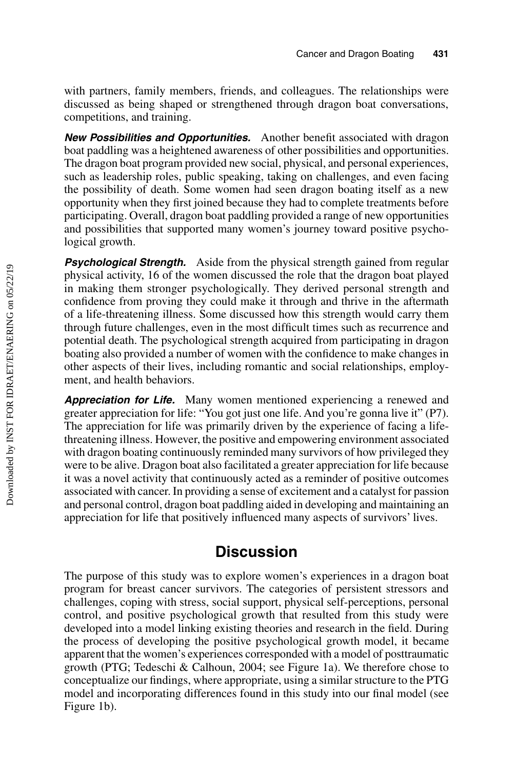with partners, family members, friends, and colleagues. The relationships were discussed as being shaped or strengthened through dragon boat conversations, competitions, and training.

*New Possibilities and Opportunities.* Another benefit associated with dragon boat paddling was a heightened awareness of other possibilities and opportunities. The dragon boat program provided new social, physical, and personal experiences, such as leadership roles, public speaking, taking on challenges, and even facing the possibility of death. Some women had seen dragon boating itself as a new opportunity when they first joined because they had to complete treatments before participating. Overall, dragon boat paddling provided a range of new opportunities and possibilities that supported many women's journey toward positive psychological growth.

**Psychological Strength.** Aside from the physical strength gained from regular physical activity, 16 of the women discussed the role that the dragon boat played in making them stronger psychologically. They derived personal strength and confidence from proving they could make it through and thrive in the aftermath of a life-threatening illness. Some discussed how this strength would carry them through future challenges, even in the most difficult times such as recurrence and potential death. The psychological strength acquired from participating in dragon boating also provided a number of women with the confidence to make changes in other aspects of their lives, including romantic and social relationships, employment, and health behaviors.

*Appreciation for Life.* Many women mentioned experiencing a renewed and greater appreciation for life: "You got just one life. And you're gonna live it" (P7). The appreciation for life was primarily driven by the experience of facing a lifethreatening illness. However, the positive and empowering environment associated with dragon boating continuously reminded many survivors of how privileged they were to be alive. Dragon boat also facilitated a greater appreciation for life because it was a novel activity that continuously acted as a reminder of positive outcomes associated with cancer. In providing a sense of excitement and a catalyst for passion and personal control, dragon boat paddling aided in developing and maintaining an appreciation for life that positively influenced many aspects of survivors' lives.

# **Discussion**

The purpose of this study was to explore women's experiences in a dragon boat program for breast cancer survivors. The categories of persistent stressors and challenges, coping with stress, social support, physical self-perceptions, personal control, and positive psychological growth that resulted from this study were developed into a model linking existing theories and research in the field. During the process of developing the positive psychological growth model, it became apparent that the women's experiences corresponded with a model of posttraumatic growth (PTG; Tedeschi & Calhoun, 2004; see Figure 1a). We therefore chose to conceptualize our findings, where appropriate, using a similar structure to the PTG model and incorporating differences found in this study into our final model (see Figure 1b).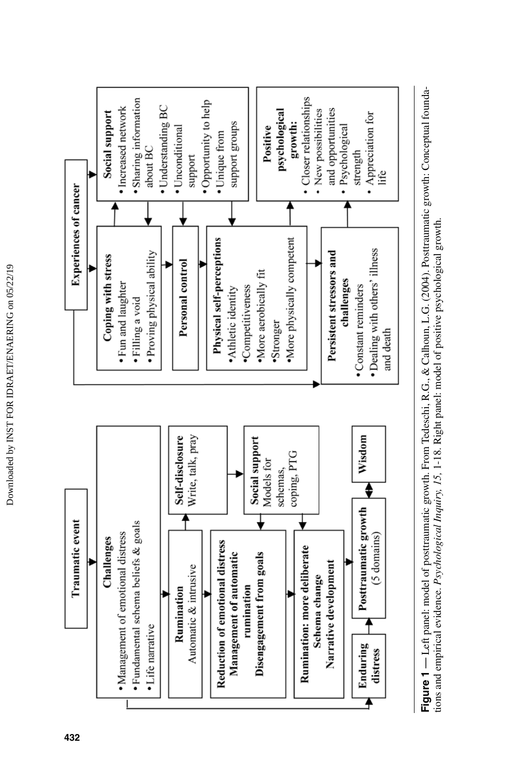

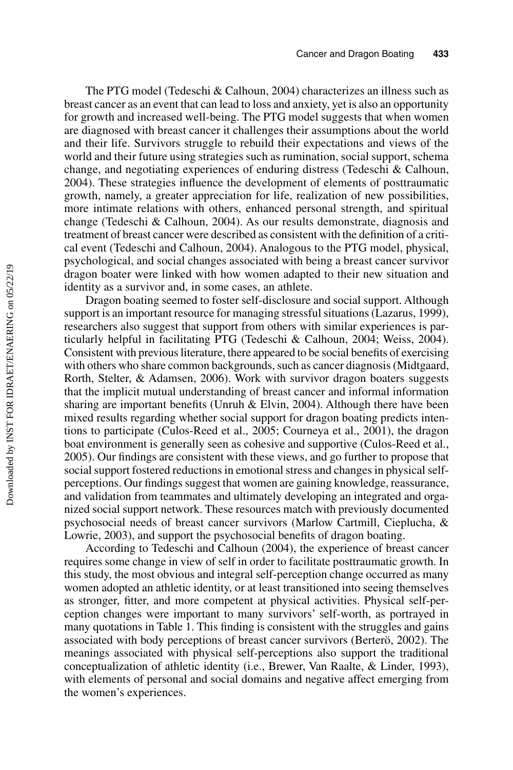The PTG model (Tedeschi & Calhoun, 2004) characterizes an illness such as breast cancer as an event that can lead to loss and anxiety, yet is also an opportunity for growth and increased well-being. The PTG model suggests that when women are diagnosed with breast cancer it challenges their assumptions about the world and their life. Survivors struggle to rebuild their expectations and views of the world and their future using strategies such as rumination, social support, schema change, and negotiating experiences of enduring distress (Tedeschi & Calhoun, 2004). These strategies influence the development of elements of posttraumatic growth, namely, a greater appreciation for life, realization of new possibilities, more intimate relations with others, enhanced personal strength, and spiritual change (Tedeschi & Calhoun, 2004). As our results demonstrate, diagnosis and treatment of breast cancer were described as consistent with the definition of a critical event (Tedeschi and Calhoun, 2004). Analogous to the PTG model, physical, psychological, and social changes associated with being a breast cancer survivor dragon boater were linked with how women adapted to their new situation and identity as a survivor and, in some cases, an athlete.

Dragon boating seemed to foster self-disclosure and social support. Although support is an important resource for managing stressful situations (Lazarus, 1999), researchers also suggest that support from others with similar experiences is particularly helpful in facilitating PTG (Tedeschi & Calhoun, 2004; Weiss, 2004). Consistent with previous literature, there appeared to be social benefits of exercising with others who share common backgrounds, such as cancer diagnosis (Midtgaard, Rorth, Stelter, & Adamsen, 2006). Work with survivor dragon boaters suggests that the implicit mutual understanding of breast cancer and informal information sharing are important benefits (Unruh & Elvin, 2004). Although there have been mixed results regarding whether social support for dragon boating predicts intentions to participate (Culos-Reed et al., 2005; Courneya et al., 2001), the dragon boat environment is generally seen as cohesive and supportive (Culos-Reed et al., 2005). Our findings are consistent with these views, and go further to propose that social support fostered reductions in emotional stress and changes in physical selfperceptions. Our findings suggest that women are gaining knowledge, reassurance, and validation from teammates and ultimately developing an integrated and organized social support network. These resources match with previously documented psychosocial needs of breast cancer survivors (Marlow Cartmill, Cieplucha, & Lowrie, 2003), and support the psychosocial benefits of dragon boating.

According to Tedeschi and Calhoun (2004), the experience of breast cancer requires some change in view of self in order to facilitate posttraumatic growth. In this study, the most obvious and integral self-perception change occurred as many women adopted an athletic identity, or at least transitioned into seeing themselves as stronger, fitter, and more competent at physical activities. Physical self-perception changes were important to many survivors' self-worth, as portrayed in many quotations in Table 1. This finding is consistent with the struggles and gains associated with body perceptions of breast cancer survivors (Berterö, 2002). The meanings associated with physical self-perceptions also support the traditional conceptualization of athletic identity (i.e., Brewer, Van Raalte, & Linder, 1993), with elements of personal and social domains and negative affect emerging from the women's experiences.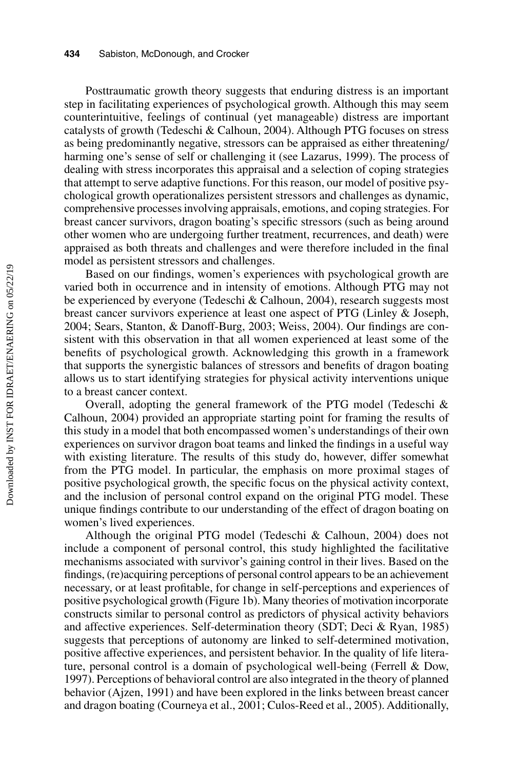Posttraumatic growth theory suggests that enduring distress is an important step in facilitating experiences of psychological growth. Although this may seem counterintuitive, feelings of continual (yet manageable) distress are important catalysts of growth (Tedeschi & Calhoun, 2004). Although PTG focuses on stress as being predominantly negative, stressors can be appraised as either threatening/ harming one's sense of self or challenging it (see Lazarus, 1999). The process of dealing with stress incorporates this appraisal and a selection of coping strategies that attempt to serve adaptive functions. For this reason, our model of positive psychological growth operationalizes persistent stressors and challenges as dynamic, comprehensive processes involving appraisals, emotions, and coping strategies. For breast cancer survivors, dragon boating's specific stressors (such as being around other women who are undergoing further treatment, recurrences, and death) were appraised as both threats and challenges and were therefore included in the final model as persistent stressors and challenges.

Based on our findings, women's experiences with psychological growth are varied both in occurrence and in intensity of emotions. Although PTG may not be experienced by everyone (Tedeschi & Calhoun, 2004), research suggests most breast cancer survivors experience at least one aspect of PTG (Linley & Joseph, 2004; Sears, Stanton, & Danoff-Burg, 2003; Weiss, 2004). Our findings are consistent with this observation in that all women experienced at least some of the benefits of psychological growth. Acknowledging this growth in a framework that supports the synergistic balances of stressors and benefits of dragon boating allows us to start identifying strategies for physical activity interventions unique to a breast cancer context.

Overall, adopting the general framework of the PTG model (Tedeschi & Calhoun, 2004) provided an appropriate starting point for framing the results of this study in a model that both encompassed women's understandings of their own experiences on survivor dragon boat teams and linked the findings in a useful way with existing literature. The results of this study do, however, differ somewhat from the PTG model. In particular, the emphasis on more proximal stages of positive psychological growth, the specific focus on the physical activity context, and the inclusion of personal control expand on the original PTG model. These unique findings contribute to our understanding of the effect of dragon boating on women's lived experiences.

Although the original PTG model (Tedeschi & Calhoun, 2004) does not include a component of personal control, this study highlighted the facilitative mechanisms associated with survivor's gaining control in their lives. Based on the findings, (re)acquiring perceptions of personal control appears to be an achievement necessary, or at least profitable, for change in self-perceptions and experiences of positive psychological growth (Figure 1b). Many theories of motivation incorporate constructs similar to personal control as predictors of physical activity behaviors and affective experiences. Self-determination theory (SDT; Deci & Ryan, 1985) suggests that perceptions of autonomy are linked to self-determined motivation, positive affective experiences, and persistent behavior. In the quality of life literature, personal control is a domain of psychological well-being (Ferrell & Dow, 1997). Perceptions of behavioral control are also integrated in the theory of planned behavior (Ajzen, 1991) and have been explored in the links between breast cancer and dragon boating (Courneya et al., 2001; Culos-Reed et al., 2005). Additionally,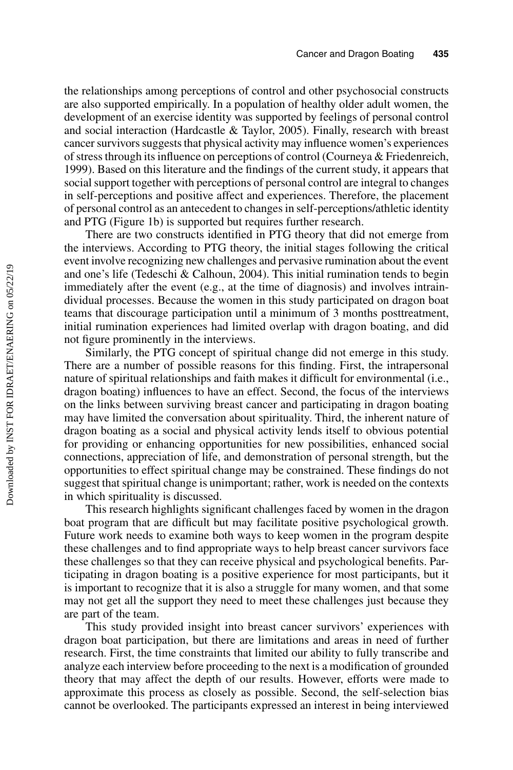the relationships among perceptions of control and other psychosocial constructs are also supported empirically. In a population of healthy older adult women, the development of an exercise identity was supported by feelings of personal control and social interaction (Hardcastle & Taylor, 2005). Finally, research with breast cancer survivors suggests that physical activity may influence women's experiences of stress through its influence on perceptions of control (Courneya & Friedenreich, 1999). Based on this literature and the findings of the current study, it appears that social support together with perceptions of personal control are integral to changes in self-perceptions and positive affect and experiences. Therefore, the placement of personal control as an antecedent to changes in self-perceptions/athletic identity and PTG (Figure 1b) is supported but requires further research.

There are two constructs identified in PTG theory that did not emerge from the interviews. According to PTG theory, the initial stages following the critical event involve recognizing new challenges and pervasive rumination about the event and one's life (Tedeschi & Calhoun, 2004). This initial rumination tends to begin immediately after the event (e.g., at the time of diagnosis) and involves intraindividual processes. Because the women in this study participated on dragon boat teams that discourage participation until a minimum of 3 months posttreatment, initial rumination experiences had limited overlap with dragon boating, and did not figure prominently in the interviews.

Similarly, the PTG concept of spiritual change did not emerge in this study. There are a number of possible reasons for this finding. First, the intrapersonal nature of spiritual relationships and faith makes it difficult for environmental (i.e., dragon boating) influences to have an effect. Second, the focus of the interviews on the links between surviving breast cancer and participating in dragon boating may have limited the conversation about spirituality. Third, the inherent nature of dragon boating as a social and physical activity lends itself to obvious potential for providing or enhancing opportunities for new possibilities, enhanced social connections, appreciation of life, and demonstration of personal strength, but the opportunities to effect spiritual change may be constrained. These findings do not suggest that spiritual change is unimportant; rather, work is needed on the contexts in which spirituality is discussed.

This research highlights significant challenges faced by women in the dragon boat program that are difficult but may facilitate positive psychological growth. Future work needs to examine both ways to keep women in the program despite these challenges and to find appropriate ways to help breast cancer survivors face these challenges so that they can receive physical and psychological benefits. Participating in dragon boating is a positive experience for most participants, but it is important to recognize that it is also a struggle for many women, and that some may not get all the support they need to meet these challenges just because they are part of the team.

This study provided insight into breast cancer survivors' experiences with dragon boat participation, but there are limitations and areas in need of further research. First, the time constraints that limited our ability to fully transcribe and analyze each interview before proceeding to the next is a modification of grounded theory that may affect the depth of our results. However, efforts were made to approximate this process as closely as possible. Second, the self-selection bias cannot be overlooked. The participants expressed an interest in being interviewed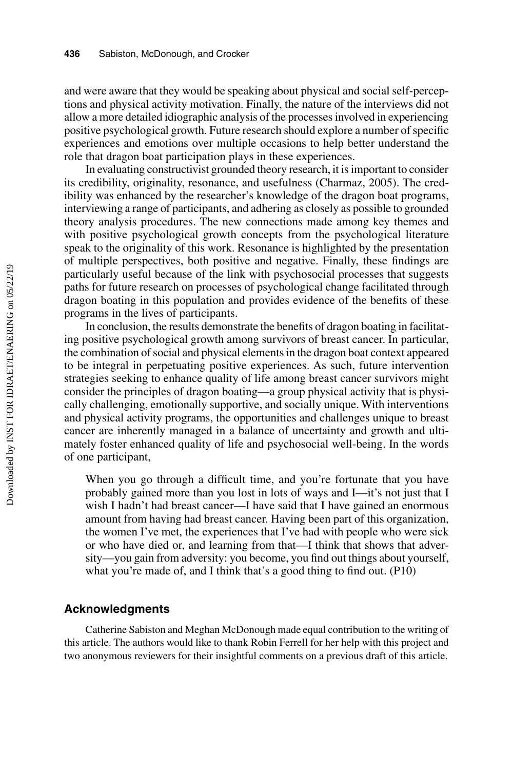and were aware that they would be speaking about physical and social self-perceptions and physical activity motivation. Finally, the nature of the interviews did not allow a more detailed idiographic analysis of the processes involved in experiencing positive psychological growth. Future research should explore a number of specific experiences and emotions over multiple occasions to help better understand the role that dragon boat participation plays in these experiences.

In evaluating constructivist grounded theory research, it is important to consider its credibility, originality, resonance, and usefulness (Charmaz, 2005). The credibility was enhanced by the researcher's knowledge of the dragon boat programs, interviewing a range of participants, and adhering as closely as possible to grounded theory analysis procedures. The new connections made among key themes and with positive psychological growth concepts from the psychological literature speak to the originality of this work. Resonance is highlighted by the presentation of multiple perspectives, both positive and negative. Finally, these findings are particularly useful because of the link with psychosocial processes that suggests paths for future research on processes of psychological change facilitated through dragon boating in this population and provides evidence of the benefits of these programs in the lives of participants.

In conclusion, the results demonstrate the benefits of dragon boating in facilitating positive psychological growth among survivors of breast cancer. In particular, the combination of social and physical elements in the dragon boat context appeared to be integral in perpetuating positive experiences. As such, future intervention strategies seeking to enhance quality of life among breast cancer survivors might consider the principles of dragon boating—a group physical activity that is physically challenging, emotionally supportive, and socially unique. With interventions and physical activity programs, the opportunities and challenges unique to breast cancer are inherently managed in a balance of uncertainty and growth and ultimately foster enhanced quality of life and psychosocial well-being. In the words of one participant,

When you go through a difficult time, and you're fortunate that you have probably gained more than you lost in lots of ways and I—it's not just that I wish I hadn't had breast cancer—I have said that I have gained an enormous amount from having had breast cancer. Having been part of this organization, the women I've met, the experiences that I've had with people who were sick or who have died or, and learning from that—I think that shows that adversity—you gain from adversity: you become, you find out things about yourself, what you're made of, and I think that's a good thing to find out. (P10)

#### **Acknowledgments**

Catherine Sabiston and Meghan McDonough made equal contribution to the writing of this article. The authors would like to thank Robin Ferrell for her help with this project and two anonymous reviewers for their insightful comments on a previous draft of this article.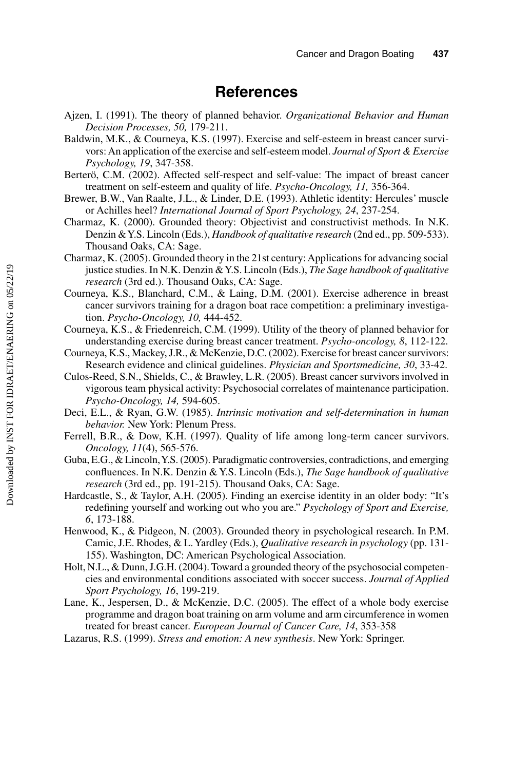# **References**

- Ajzen, I. (1991). The theory of planned behavior. *Organizational Behavior and Human Decision Processes, 50,* 179-211.
- Baldwin, M.K., & Courneya, K.S. (1997). Exercise and self-esteem in breast cancer survivors: An application of the exercise and self-esteem model. *Journal of Sport & Exercise Psychology, 19*, 347-358.
- Berterö, C.M. (2002). Affected self-respect and self-value: The impact of breast cancer treatment on self-esteem and quality of life. *Psycho-Oncology, 11,* 356-364.
- Brewer, B.W., Van Raalte, J.L., & Linder, D.E. (1993). Athletic identity: Hercules' muscle or Achilles heel? *International Journal of Sport Psychology, 24*, 237-254.
- Charmaz, K. (2000). Grounded theory: Objectivist and constructivist methods. In N.K. Denzin & Y.S. Lincoln (Eds.), *Handbook of qualitative research* (2nd ed., pp. 509-533). Thousand Oaks, CA: Sage.
- Charmaz, K. (2005). Grounded theory in the 21st century: Applications for advancing social justice studies. In N.K. Denzin & Y.S. Lincoln (Eds.), *The Sage handbook of qualitative research* (3rd ed.). Thousand Oaks, CA: Sage.
- Courneya, K.S., Blanchard, C.M., & Laing, D.M. (2001). Exercise adherence in breast cancer survivors training for a dragon boat race competition: a preliminary investigation. *Psycho-Oncology, 10,* 444-452.
- Courneya, K.S., & Friedenreich, C.M. (1999). Utility of the theory of planned behavior for understanding exercise during breast cancer treatment. *Psycho-oncology, 8*, 112-122.
- Courneya, K.S., Mackey, J.R., & McKenzie, D.C. (2002). Exercise for breast cancer survivors: Research evidence and clinical guidelines. *Physician and Sportsmedicine, 30*, 33-42.
- Culos-Reed, S.N., Shields, C., & Brawley, L.R. (2005). Breast cancer survivors involved in vigorous team physical activity: Psychosocial correlates of maintenance participation. *Psycho-Oncology, 14,* 594-605.
- Deci, E.L., & Ryan, G.W. (1985). *Intrinsic motivation and self-determination in human behavior.* New York: Plenum Press.
- Ferrell, B.R., & Dow, K.H. (1997). Quality of life among long-term cancer survivors. *Oncology, 11*(4), 565-576.
- Guba, E.G., & Lincoln, Y.S. (2005). Paradigmatic controversies, contradictions, and emerging confluences. In N.K. Denzin & Y.S. Lincoln (Eds.), *The Sage handbook of qualitative research* (3rd ed., pp. 191-215). Thousand Oaks, CA: Sage.
- Hardcastle, S., & Taylor, A.H. (2005). Finding an exercise identity in an older body: "It's redefining yourself and working out who you are." *Psychology of Sport and Exercise, 6*, 173-188.
- Henwood, K., & Pidgeon, N. (2003). Grounded theory in psychological research. In P.M. Camic, J.E. Rhodes, & L. Yardley (Eds.), *Qualitative research in psychology* (pp. 131- 155). Washington, DC: American Psychological Association.
- Holt, N.L., & Dunn, J.G.H. (2004). Toward a grounded theory of the psychosocial competencies and environmental conditions associated with soccer success. *Journal of Applied Sport Psychology, 16*, 199-219.
- Lane, K., Jespersen, D., & McKenzie, D.C. (2005). The effect of a whole body exercise programme and dragon boat training on arm volume and arm circumference in women treated for breast cancer. *European Journal of Cancer Care, 14*, 353-358
- Lazarus, R.S. (1999). *Stress and emotion: A new synthesis*. New York: Springer.